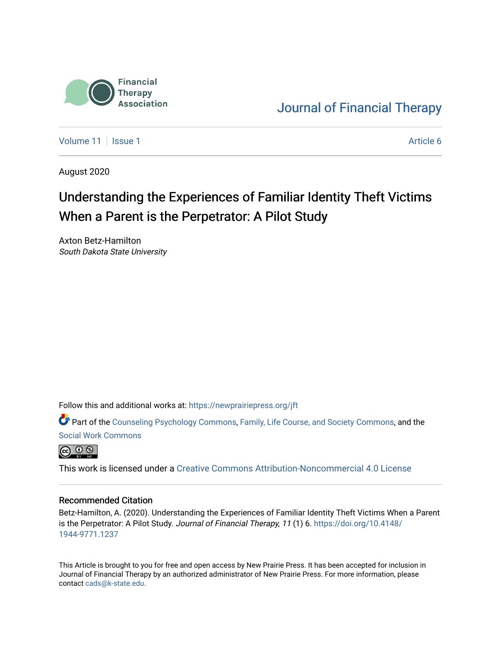

[Journal of Financial Therapy](https://newprairiepress.org/jft) 

[Volume 11](https://newprairiepress.org/jft/vol11) | [Issue 1](https://newprairiepress.org/jft/vol11/iss1) Article 6

August 2020

# Understanding the Experiences of Familiar Identity Theft Victims When a Parent is the Perpetrator: A Pilot Study

Axton Betz-Hamilton South Dakota State University

Follow this and additional works at: [https://newprairiepress.org/jft](https://newprairiepress.org/jft?utm_source=newprairiepress.org%2Fjft%2Fvol11%2Fiss1%2F6&utm_medium=PDF&utm_campaign=PDFCoverPages)

Part of the [Counseling Psychology Commons](http://network.bepress.com/hgg/discipline/1044?utm_source=newprairiepress.org%2Fjft%2Fvol11%2Fiss1%2F6&utm_medium=PDF&utm_campaign=PDFCoverPages), [Family, Life Course, and Society Commons,](http://network.bepress.com/hgg/discipline/419?utm_source=newprairiepress.org%2Fjft%2Fvol11%2Fiss1%2F6&utm_medium=PDF&utm_campaign=PDFCoverPages) and the [Social Work Commons](http://network.bepress.com/hgg/discipline/713?utm_source=newprairiepress.org%2Fjft%2Fvol11%2Fiss1%2F6&utm_medium=PDF&utm_campaign=PDFCoverPages)



This work is licensed under a [Creative Commons Attribution-Noncommercial 4.0 License](https://creativecommons.org/licenses/by-nc/4.0/)

#### Recommended Citation

Betz-Hamilton, A. (2020). Understanding the Experiences of Familiar Identity Theft Victims When a Parent is the Perpetrator: A Pilot Study. Journal of Financial Therapy, 11 (1) 6. [https://doi.org/10.4148/](https://doi.org/10.4148/1944-9771.1237) [1944-9771.1237](https://doi.org/10.4148/1944-9771.1237) 

This Article is brought to you for free and open access by New Prairie Press. It has been accepted for inclusion in Journal of Financial Therapy by an authorized administrator of New Prairie Press. For more information, please contact [cads@k-state.edu](mailto:cads@k-state.edu).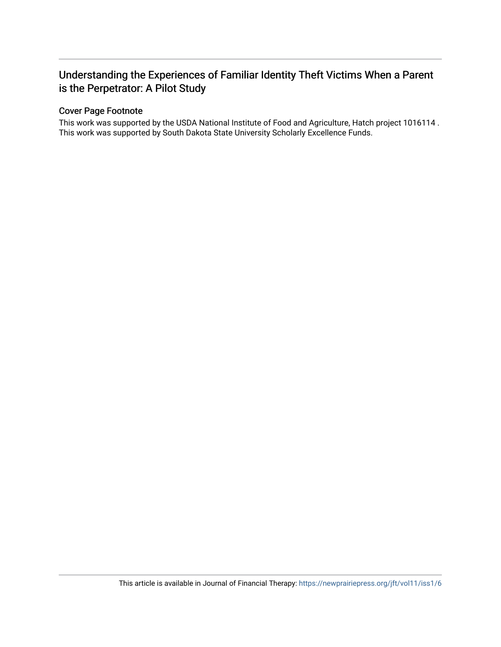#### Cover Page Footnote

This work was supported by the USDA National Institute of Food and Agriculture, Hatch project 1016114 . This work was supported by South Dakota State University Scholarly Excellence Funds.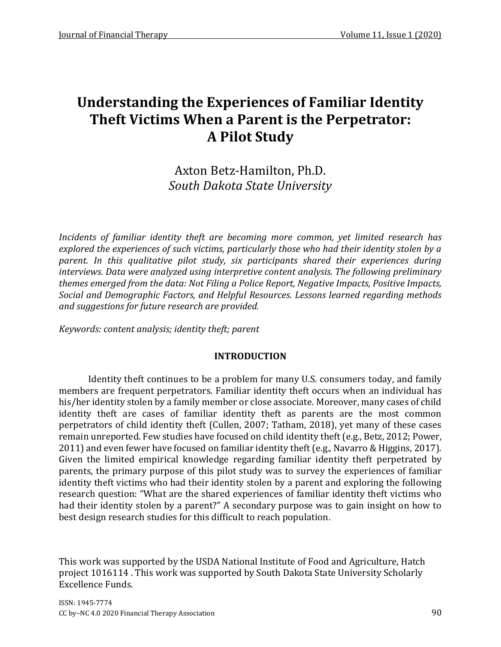# Axton Betz-Hamilton, Ph.D. *South Dakota State University*

*Incidents of familiar identity theft are becoming more common, yet limited research has explored the experiences of such victims, particularly those who had their identity stolen by a parent. In this qualitative pilot study, six participants shared their experiences during interviews. Data were analyzed using interpretive content analysis. The following preliminary themes emerged from the data: Not Filing a Police Report, Negative Impacts, Positive Impacts, Social and Demographic Factors, and Helpful Resources. Lessons learned regarding methods and suggestions for future research are provided.*

*Keywords: content analysis; identity theft; parent*

# **INTRODUCTION**

Identity theft continues to be a problem for many U.S. consumers today, and family members are frequent perpetrators. Familiar identity theft occurs when an individual has his/her identity stolen by a family member or close associate. Moreover, many cases of child identity theft are cases of familiar identity theft as parents are the most common perpetrators of child identity theft (Cullen, 2007; Tatham, 2018), yet many of these cases remain unreported. Few studies have focused on child identity theft (e.g., Betz, 2012; Power, 2011) and even fewer have focused on familiar identity theft (e.g., Navarro & Higgins, 2017). Given the limited empirical knowledge regarding familiar identity theft perpetrated by parents, the primary purpose of this pilot study was to survey the experiences of familiar identity theft victims who had their identity stolen by a parent and exploring the following research question: "What are the shared experiences of familiar identity theft victims who had their identity stolen by a parent?" A secondary purpose was to gain insight on how to best design research studies for this difficult to reach population.

This work was supported by the USDA National Institute of Food and Agriculture, Hatch project 1016114 . This work was supported by South Dakota State University Scholarly Excellence Funds.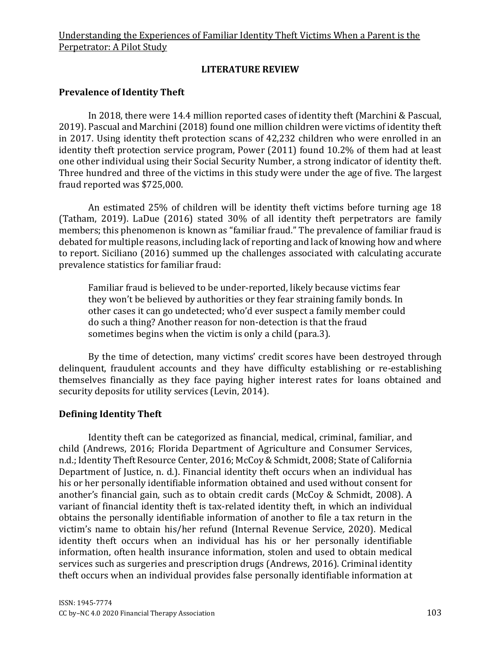# **LITERATURE REVIEW**

# **Prevalence of Identity Theft**

In 2018, there were 14.4 million reported cases of identity theft (Marchini & Pascual, 2019). Pascual and Marchini (2018) found one million children were victims of identity theft in 2017. Using identity theft protection scans of 42,232 children who were enrolled in an identity theft protection service program, Power (2011) found 10.2% of them had at least one other individual using their Social Security Number, a strong indicator of identity theft. Three hundred and three of the victims in this study were under the age of five. The largest fraud reported was \$725,000.

An estimated 25% of children will be identity theft victims before turning age 18 (Tatham, 2019). LaDue (2016) stated 30% of all identity theft perpetrators are family members; this phenomenon is known as "familiar fraud." The prevalence of familiar fraud is debated for multiple reasons, including lack of reporting and lack of knowing how and where to report. Siciliano (2016) summed up the challenges associated with calculating accurate prevalence statistics for familiar fraud:

Familiar fraud is believed to be under-reported, likely because victims fear they won't be believed by authorities or they fear straining family bonds. In other cases it can go undetected; who'd ever suspect a family member could do such a thing? Another reason for non-detection is that the fraud sometimes begins when the victim is only a child (para.3).

By the time of detection, many victims' credit scores have been destroyed through delinquent, fraudulent accounts and they have difficulty establishing or re-establishing themselves financially as they face paying higher interest rates for loans obtained and security deposits for utility services (Levin, 2014).

## **Defining Identity Theft**

Identity theft can be categorized as financial, medical, criminal, familiar, and child (Andrews, 2016; Florida Department of Agriculture and Consumer Services, n.d.; Identity Theft Resource Center, 2016; McCoy & Schmidt, 2008; State of California Department of Justice, n. d.). Financial identity theft occurs when an individual has his or her personally identifiable information obtained and used without consent for another's financial gain, such as to obtain credit cards (McCoy & Schmidt, 2008). A variant of financial identity theft is tax-related identity theft, in which an individual obtains the personally identifiable information of another to file a tax return in the victim's name to obtain his/her refund (Internal Revenue Service, 2020). Medical identity theft occurs when an individual has his or her personally identifiable information, often health insurance information, stolen and used to obtain medical services such as surgeries and prescription drugs (Andrews, 2016). Criminal identity theft occurs when an individual provides false personally identifiable information at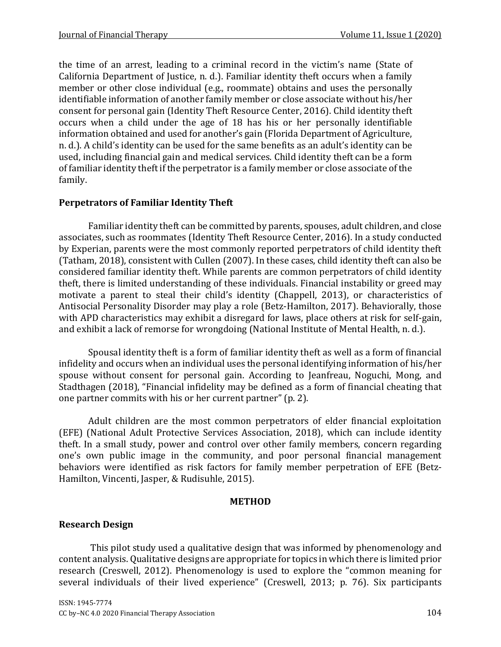the time of an arrest, leading to a criminal record in the victim's name (State of California Department of Justice, n. d.). Familiar identity theft occurs when a family member or other close individual (e.g., roommate) obtains and uses the personally identifiable information of another family member or close associate without his/her consent for personal gain (Identity Theft Resource Center, 2016). Child identity theft occurs when a child under the age of 18 has his or her personally identifiable information obtained and used for another's gain (Florida Department of Agriculture, n. d.). A child's identity can be used for the same benefits as an adult's identity can be used, including financial gain and medical services. Child identity theft can be a form of familiar identity theft if the perpetrator is a family member or close associate of the family.

## **Perpetrators of Familiar Identity Theft**

Familiar identity theft can be committed by parents, spouses, adult children, and close associates, such as roommates (Identity Theft Resource Center, 2016). In a study conducted by Experian, parents were the most commonly reported perpetrators of child identity theft (Tatham, 2018), consistent with Cullen (2007). In these cases, child identity theft can also be considered familiar identity theft. While parents are common perpetrators of child identity theft, there is limited understanding of these individuals. Financial instability or greed may motivate a parent to steal their child's identity (Chappell, 2013), or characteristics of Antisocial Personality Disorder may play a role (Betz-Hamilton, 2017). Behaviorally, those with APD characteristics may exhibit a disregard for laws, place others at risk for self-gain, and exhibit a lack of remorse for wrongdoing (National Institute of Mental Health, n. d.).

Spousal identity theft is a form of familiar identity theft as well as a form of financial infidelity and occurs when an individual uses the personal identifying information of his/her spouse without consent for personal gain. According to Jeanfreau, Noguchi, Mong, and Stadthagen (2018), "Financial infidelity may be defined as a form of financial cheating that one partner commits with his or her current partner" (p. 2).

Adult children are the most common perpetrators of elder financial exploitation (EFE) (National Adult Protective Services Association, 2018), which can include identity theft. In a small study, power and control over other family members, concern regarding one's own public image in the community, and poor personal financial management behaviors were identified as risk factors for family member perpetration of EFE (Betz-Hamilton, Vincenti, Jasper, & Rudisuhle, 2015).

#### **METHOD**

# **Research Design**

This pilot study used a qualitative design that was informed by phenomenology and content analysis. Qualitative designs are appropriate for topics in which there is limited prior research (Creswell, 2012). Phenomenology is used to explore the "common meaning for several individuals of their lived experience" (Creswell, 2013; p. 76). Six participants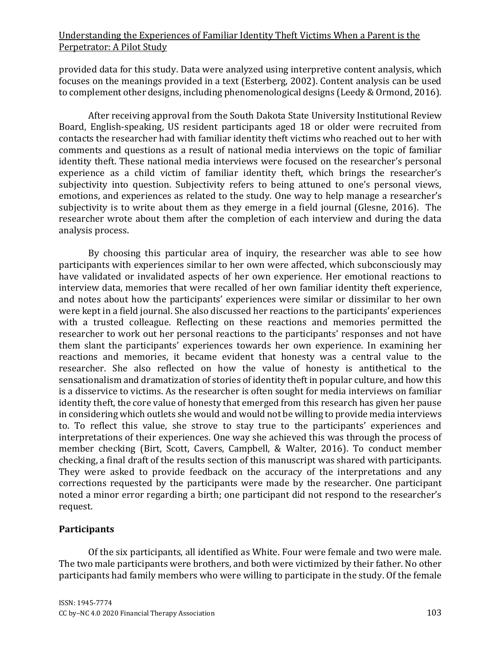provided data for this study. Data were analyzed using interpretive content analysis, which focuses on the meanings provided in a text (Esterberg, 2002). Content analysis can be used to complement other designs, including phenomenological designs (Leedy & Ormond, 2016).

After receiving approval from the South Dakota State University Institutional Review Board, English-speaking, US resident participants aged 18 or older were recruited from contacts the researcher had with familiar identity theft victims who reached out to her with comments and questions as a result of national media interviews on the topic of familiar identity theft. These national media interviews were focused on the researcher's personal experience as a child victim of familiar identity theft, which brings the researcher's subjectivity into question. Subjectivity refers to being attuned to one's personal views, emotions, and experiences as related to the study. One way to help manage a researcher's subjectivity is to write about them as they emerge in a field journal (Glesne, 2016). The researcher wrote about them after the completion of each interview and during the data analysis process.

By choosing this particular area of inquiry, the researcher was able to see how participants with experiences similar to her own were affected, which subconsciously may have validated or invalidated aspects of her own experience. Her emotional reactions to interview data, memories that were recalled of her own familiar identity theft experience, and notes about how the participants' experiences were similar or dissimilar to her own were kept in a field journal. She also discussed her reactions to the participants' experiences with a trusted colleague. Reflecting on these reactions and memories permitted the researcher to work out her personal reactions to the participants' responses and not have them slant the participants' experiences towards her own experience. In examining her reactions and memories, it became evident that honesty was a central value to the researcher. She also reflected on how the value of honesty is antithetical to the sensationalism and dramatization of stories of identity theft in popular culture, and how this is a disservice to victims. As the researcher is often sought for media interviews on familiar identity theft, the core value of honesty that emerged from this research has given her pause in considering which outlets she would and would not be willing to provide media interviews to. To reflect this value, she strove to stay true to the participants' experiences and interpretations of their experiences. One way she achieved this was through the process of member checking (Birt, Scott, Cavers, Campbell, & Walter, 2016). To conduct member checking, a final draft of the results section of this manuscript was shared with participants. They were asked to provide feedback on the accuracy of the interpretations and any corrections requested by the participants were made by the researcher. One participant noted a minor error regarding a birth; one participant did not respond to the researcher's request.

## **Participants**

Of the six participants, all identified as White. Four were female and two were male. The two male participants were brothers, and both were victimized by their father. No other participants had family members who were willing to participate in the study. Of the female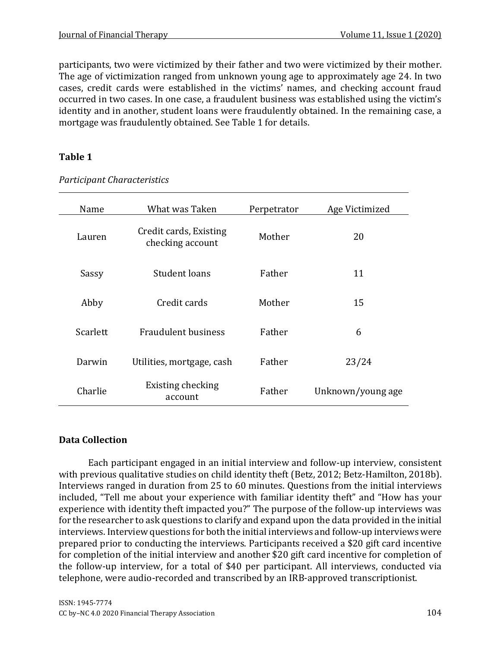participants, two were victimized by their father and two were victimized by their mother. The age of victimization ranged from unknown young age to approximately age 24. In two cases, credit cards were established in the victims' names, and checking account fraud occurred in two cases. In one case, a fraudulent business was established using the victim's identity and in another, student loans were fraudulently obtained. In the remaining case, a mortgage was fraudulently obtained. See Table 1 for details.

# **Table 1**

| Name     | What was Taken                             | Perpetrator | Age Victimized    |
|----------|--------------------------------------------|-------------|-------------------|
| Lauren   | Credit cards, Existing<br>checking account | Mother      | 20                |
| Sassy    | Student loans                              | Father      | 11                |
| Abby     | Credit cards                               | Mother      | 15                |
| Scarlett | <b>Fraudulent business</b>                 | Father      | 6                 |
| Darwin   | Utilities, mortgage, cash                  | Father      | 23/24             |
| Charlie  | Existing checking<br>account               | Father      | Unknown/young age |

*Participant Characteristics*

# **Data Collection**

Each participant engaged in an initial interview and follow-up interview, consistent with previous qualitative studies on child identity theft (Betz, 2012; Betz-Hamilton, 2018b). Interviews ranged in duration from 25 to 60 minutes. Questions from the initial interviews included, "Tell me about your experience with familiar identity theft" and "How has your experience with identity theft impacted you?" The purpose of the follow-up interviews was for the researcher to ask questions to clarify and expand upon the data provided in the initial interviews. Interview questions for both the initial interviews and follow-up interviews were prepared prior to conducting the interviews. Participants received a \$20 gift card incentive for completion of the initial interview and another \$20 gift card incentive for completion of the follow-up interview, for a total of \$40 per participant. All interviews, conducted via telephone, were audio-recorded and transcribed by an IRB-approved transcriptionist.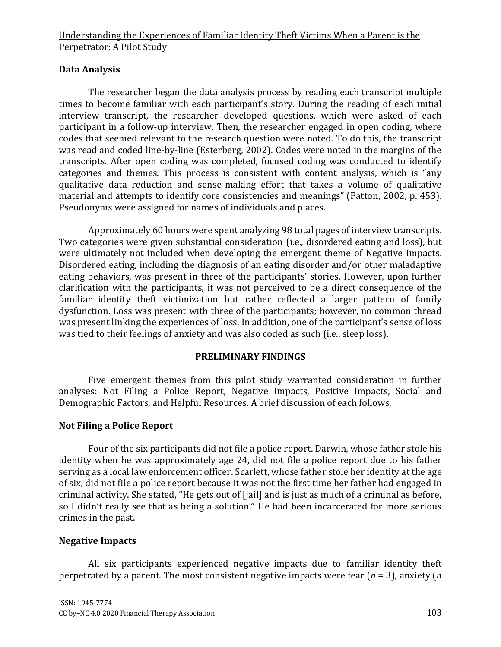# **Data Analysis**

The researcher began the data analysis process by reading each transcript multiple times to become familiar with each participant's story. During the reading of each initial interview transcript, the researcher developed questions, which were asked of each participant in a follow-up interview. Then, the researcher engaged in open coding, where codes that seemed relevant to the research question were noted. To do this, the transcript was read and coded line-by-line (Esterberg, 2002). Codes were noted in the margins of the transcripts. After open coding was completed, focused coding was conducted to identify categories and themes. This process is consistent with content analysis, which is "any qualitative data reduction and sense-making effort that takes a volume of qualitative material and attempts to identify core consistencies and meanings" (Patton, 2002, p. 453). Pseudonyms were assigned for names of individuals and places.

Approximately 60 hours were spent analyzing 98 total pages of interview transcripts. Two categories were given substantial consideration (i.e., disordered eating and loss), but were ultimately not included when developing the emergent theme of Negative Impacts. Disordered eating, including the diagnosis of an eating disorder and/or other maladaptive eating behaviors, was present in three of the participants' stories. However, upon further clarification with the participants, it was not perceived to be a direct consequence of the familiar identity theft victimization but rather reflected a larger pattern of family dysfunction. Loss was present with three of the participants; however, no common thread was present linking the experiences of loss. In addition, one of the participant's sense of loss was tied to their feelings of anxiety and was also coded as such (i.e., sleep loss).

## **PRELIMINARY FINDINGS**

Five emergent themes from this pilot study warranted consideration in further analyses: Not Filing a Police Report, Negative Impacts, Positive Impacts, Social and Demographic Factors, and Helpful Resources. A brief discussion of each follows.

# **Not Filing a Police Report**

Four of the six participants did not file a police report. Darwin, whose father stole his identity when he was approximately age 24, did not file a police report due to his father serving as a local law enforcement officer. Scarlett, whose father stole her identity at the age of six, did not file a police report because it was not the first time her father had engaged in criminal activity. She stated, "He gets out of [jail] and is just as much of a criminal as before, so I didn't really see that as being a solution." He had been incarcerated for more serious crimes in the past.

## **Negative Impacts**

All six participants experienced negative impacts due to familiar identity theft perpetrated by a parent. The most consistent negative impacts were fear (*n* = 3), anxiety (*n*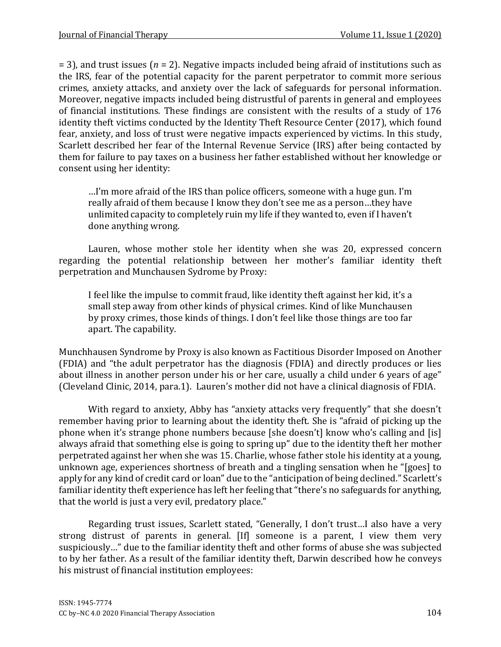= 3), and trust issues (*n* = 2). Negative impacts included being afraid of institutions such as the IRS, fear of the potential capacity for the parent perpetrator to commit more serious crimes, anxiety attacks, and anxiety over the lack of safeguards for personal information. Moreover, negative impacts included being distrustful of parents in general and employees of financial institutions. These findings are consistent with the results of a study of 176 identity theft victims conducted by the Identity Theft Resource Center (2017), which found fear, anxiety, and loss of trust were negative impacts experienced by victims. In this study, Scarlett described her fear of the Internal Revenue Service (IRS) after being contacted by them for failure to pay taxes on a business her father established without her knowledge or consent using her identity:

…I'm more afraid of the IRS than police officers, someone with a huge gun. I'm really afraid of them because I know they don't see me as a person…they have unlimited capacity to completely ruin my life if they wanted to, even if I haven't done anything wrong.

Lauren, whose mother stole her identity when she was 20, expressed concern regarding the potential relationship between her mother's familiar identity theft perpetration and Munchausen Sydrome by Proxy:

I feel like the impulse to commit fraud, like identity theft against her kid, it's a small step away from other kinds of physical crimes. Kind of like Munchausen by proxy crimes, those kinds of things. I don't feel like those things are too far apart. The capability.

Munchhausen Syndrome by Proxy is also known as Factitious Disorder Imposed on Another (FDIA) and "the adult perpetrator has the diagnosis (FDIA) and directly produces or lies about illness in another person under his or her care, usually a child under 6 years of age" (Cleveland Clinic, 2014, para.1). Lauren's mother did not have a clinical diagnosis of FDIA.

With regard to anxiety, Abby has "anxiety attacks very frequently" that she doesn't remember having prior to learning about the identity theft. She is "afraid of picking up the phone when it's strange phone numbers because [she doesn't] know who's calling and [is] always afraid that something else is going to spring up" due to the identity theft her mother perpetrated against her when she was 15. Charlie, whose father stole his identity at a young, unknown age, experiences shortness of breath and a tingling sensation when he "[goes] to apply for any kind of credit card or loan" due to the "anticipation of being declined." Scarlett's familiar identity theft experience has left her feeling that "there's no safeguards for anything, that the world is just a very evil, predatory place."

Regarding trust issues, Scarlett stated, "Generally, I don't trust…I also have a very strong distrust of parents in general. [If] someone is a parent, I view them very suspiciously…" due to the familiar identity theft and other forms of abuse she was subjected to by her father. As a result of the familiar identity theft, Darwin described how he conveys his mistrust of financial institution employees: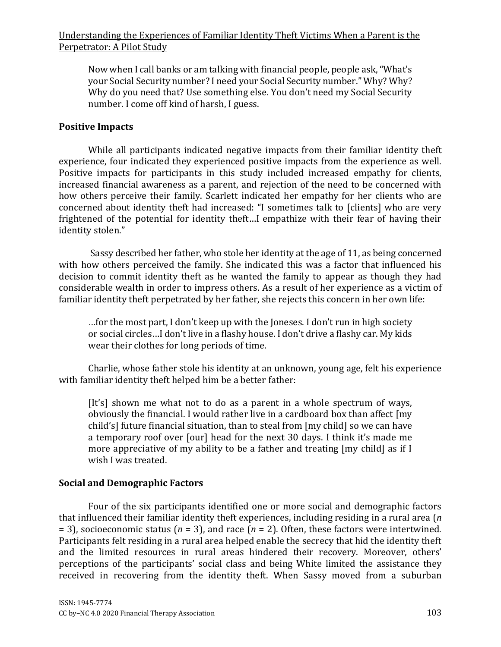Now when I call banks or am talking with financial people, people ask, "What's your Social Security number? I need your Social Security number." Why? Why? Why do you need that? Use something else. You don't need my Social Security number. I come off kind of harsh, I guess.

#### **Positive Impacts**

While all participants indicated negative impacts from their familiar identity theft experience, four indicated they experienced positive impacts from the experience as well. Positive impacts for participants in this study included increased empathy for clients, increased financial awareness as a parent, and rejection of the need to be concerned with how others perceive their family. Scarlett indicated her empathy for her clients who are concerned about identity theft had increased: "I sometimes talk to [clients] who are very frightened of the potential for identity theft…I empathize with their fear of having their identity stolen."

Sassy described her father, who stole her identity at the age of 11, as being concerned with how others perceived the family. She indicated this was a factor that influenced his decision to commit identity theft as he wanted the family to appear as though they had considerable wealth in order to impress others. As a result of her experience as a victim of familiar identity theft perpetrated by her father, she rejects this concern in her own life:

…for the most part, I don't keep up with the Joneses. I don't run in high society or social circles…I don't live in a flashy house. I don't drive a flashy car. My kids wear their clothes for long periods of time.

Charlie, whose father stole his identity at an unknown, young age, felt his experience with familiar identity theft helped him be a better father:

[It's] shown me what not to do as a parent in a whole spectrum of ways, obviously the financial. I would rather live in a cardboard box than affect [my child's] future financial situation, than to steal from [my child] so we can have a temporary roof over [our] head for the next 30 days. I think it's made me more appreciative of my ability to be a father and treating [my child] as if I wish I was treated.

## **Social and Demographic Factors**

Four of the six participants identified one or more social and demographic factors that influenced their familiar identity theft experiences, including residing in a rural area (*n* = 3), socioeconomic status (*n* = 3), and race (*n* = 2). Often, these factors were intertwined. Participants felt residing in a rural area helped enable the secrecy that hid the identity theft and the limited resources in rural areas hindered their recovery. Moreover, others' perceptions of the participants' social class and being White limited the assistance they received in recovering from the identity theft. When Sassy moved from a suburban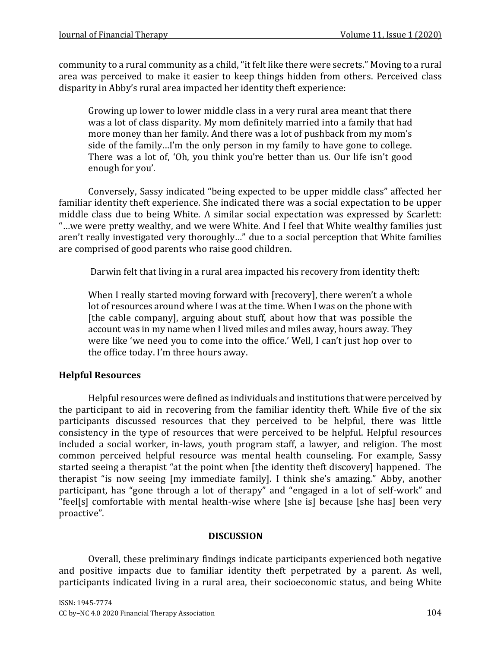community to a rural community as a child, "it felt like there were secrets." Moving to a rural area was perceived to make it easier to keep things hidden from others. Perceived class disparity in Abby's rural area impacted her identity theft experience:

Growing up lower to lower middle class in a very rural area meant that there was a lot of class disparity. My mom definitely married into a family that had more money than her family. And there was a lot of pushback from my mom's side of the family…I'm the only person in my family to have gone to college. There was a lot of, 'Oh, you think you're better than us. Our life isn't good enough for you'.

Conversely, Sassy indicated "being expected to be upper middle class" affected her familiar identity theft experience. She indicated there was a social expectation to be upper middle class due to being White. A similar social expectation was expressed by Scarlett: "…we were pretty wealthy, and we were White. And I feel that White wealthy families just aren't really investigated very thoroughly…" due to a social perception that White families are comprised of good parents who raise good children.

Darwin felt that living in a rural area impacted his recovery from identity theft:

When I really started moving forward with [recovery], there weren't a whole lot of resources around where I was at the time. When I was on the phone with [the cable company], arguing about stuff, about how that was possible the account was in my name when I lived miles and miles away, hours away. They were like 'we need you to come into the office.' Well, I can't just hop over to the office today. I'm three hours away.

# **Helpful Resources**

Helpful resources were defined as individuals and institutions that were perceived by the participant to aid in recovering from the familiar identity theft. While five of the six participants discussed resources that they perceived to be helpful, there was little consistency in the type of resources that were perceived to be helpful. Helpful resources included a social worker, in-laws, youth program staff, a lawyer, and religion. The most common perceived helpful resource was mental health counseling. For example, Sassy started seeing a therapist "at the point when [the identity theft discovery] happened. The therapist "is now seeing [my immediate family]. I think she's amazing." Abby, another participant, has "gone through a lot of therapy" and "engaged in a lot of self-work" and "feel[s] comfortable with mental health-wise where [she is] because [she has] been very proactive".

# **DISCUSSION**

Overall, these preliminary findings indicate participants experienced both negative and positive impacts due to familiar identity theft perpetrated by a parent. As well, participants indicated living in a rural area, their socioeconomic status, and being White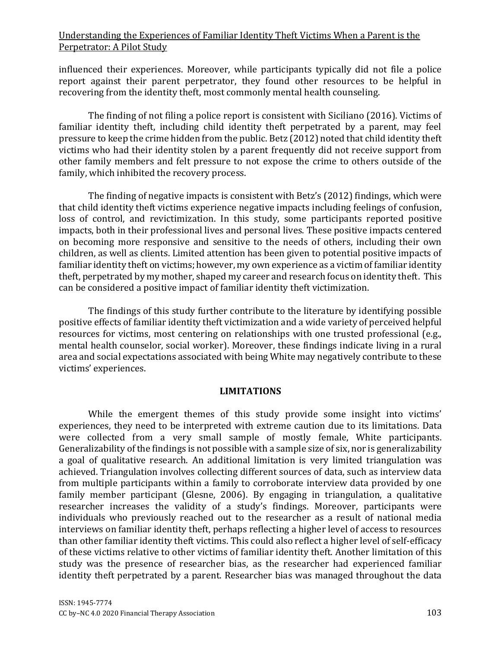influenced their experiences. Moreover, while participants typically did not file a police report against their parent perpetrator, they found other resources to be helpful in recovering from the identity theft, most commonly mental health counseling.

The finding of not filing a police report is consistent with Siciliano (2016). Victims of familiar identity theft, including child identity theft perpetrated by a parent, may feel pressure to keep the crime hidden from the public. Betz (2012) noted that child identity theft victims who had their identity stolen by a parent frequently did not receive support from other family members and felt pressure to not expose the crime to others outside of the family, which inhibited the recovery process.

The finding of negative impacts is consistent with Betz's (2012) findings, which were that child identity theft victims experience negative impacts including feelings of confusion, loss of control, and revictimization. In this study, some participants reported positive impacts, both in their professional lives and personal lives. These positive impacts centered on becoming more responsive and sensitive to the needs of others, including their own children, as well as clients. Limited attention has been given to potential positive impacts of familiar identity theft on victims; however, my own experience as a victim of familiar identity theft, perpetrated by my mother, shaped my career and research focus on identity theft. This can be considered a positive impact of familiar identity theft victimization.

The findings of this study further contribute to the literature by identifying possible positive effects of familiar identity theft victimization and a wide variety of perceived helpful resources for victims, most centering on relationships with one trusted professional (e.g., mental health counselor, social worker). Moreover, these findings indicate living in a rural area and social expectations associated with being White may negatively contribute to these victims' experiences.

## **LIMITATIONS**

While the emergent themes of this study provide some insight into victims' experiences, they need to be interpreted with extreme caution due to its limitations. Data were collected from a very small sample of mostly female, White participants. Generalizability of the findings is not possible with a sample size of six, nor is generalizability a goal of qualitative research. An additional limitation is very limited triangulation was achieved. Triangulation involves collecting different sources of data, such as interview data from multiple participants within a family to corroborate interview data provided by one family member participant (Glesne, 2006). By engaging in triangulation, a qualitative researcher increases the validity of a study's findings. Moreover, participants were individuals who previously reached out to the researcher as a result of national media interviews on familiar identity theft, perhaps reflecting a higher level of access to resources than other familiar identity theft victims. This could also reflect a higher level of self-efficacy of these victims relative to other victims of familiar identity theft. Another limitation of this study was the presence of researcher bias, as the researcher had experienced familiar identity theft perpetrated by a parent. Researcher bias was managed throughout the data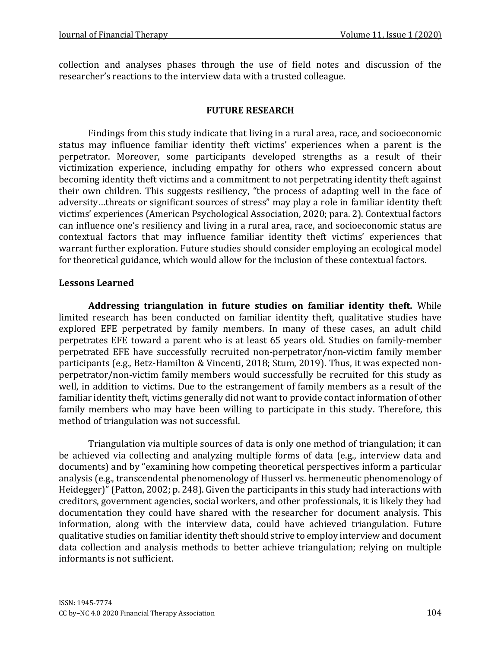collection and analyses phases through the use of field notes and discussion of the researcher's reactions to the interview data with a trusted colleague.

## **FUTURE RESEARCH**

Findings from this study indicate that living in a rural area, race, and socioeconomic status may influence familiar identity theft victims' experiences when a parent is the perpetrator. Moreover, some participants developed strengths as a result of their victimization experience, including empathy for others who expressed concern about becoming identity theft victims and a commitment to not perpetrating identity theft against their own children. This suggests resiliency, "the process of adapting well in the face of adversity…threats or significant sources of stress" may play a role in familiar identity theft victims' experiences (American Psychological Association, 2020; para. 2). Contextual factors can influence one's resiliency and living in a rural area, race, and socioeconomic status are contextual factors that may influence familiar identity theft victims' experiences that warrant further exploration. Future studies should consider employing an ecological model for theoretical guidance, which would allow for the inclusion of these contextual factors.

## **Lessons Learned**

**Addressing triangulation in future studies on familiar identity theft.** While limited research has been conducted on familiar identity theft, qualitative studies have explored EFE perpetrated by family members. In many of these cases, an adult child perpetrates EFE toward a parent who is at least 65 years old. Studies on family-member perpetrated EFE have successfully recruited non-perpetrator/non-victim family member participants (e.g., Betz-Hamilton & Vincenti, 2018; Stum, 2019). Thus, it was expected nonperpetrator/non-victim family members would successfully be recruited for this study as well, in addition to victims. Due to the estrangement of family members as a result of the familiar identity theft, victims generally did not want to provide contact information of other family members who may have been willing to participate in this study. Therefore, this method of triangulation was not successful.

Triangulation via multiple sources of data is only one method of triangulation; it can be achieved via collecting and analyzing multiple forms of data (e.g., interview data and documents) and by "examining how competing theoretical perspectives inform a particular analysis (e.g., transcendental phenomenology of Husserl vs. hermeneutic phenomenology of Heidegger)" (Patton, 2002; p. 248). Given the participants in this study had interactions with creditors, government agencies, social workers, and other professionals, it is likely they had documentation they could have shared with the researcher for document analysis. This information, along with the interview data, could have achieved triangulation. Future qualitative studies on familiar identity theft should strive to employ interview and document data collection and analysis methods to better achieve triangulation; relying on multiple informants is not sufficient.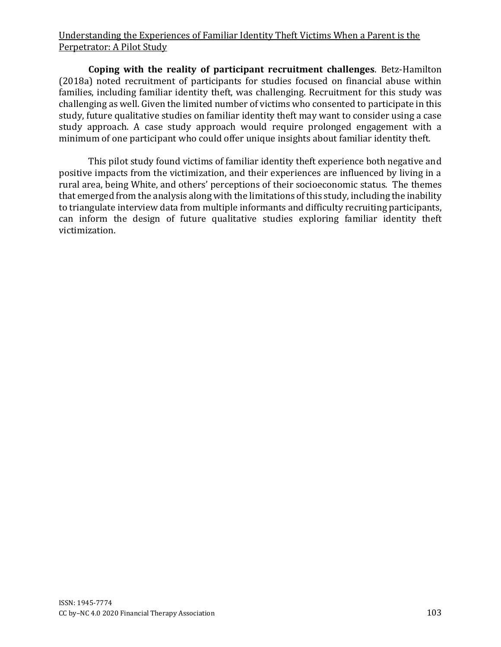**Coping with the reality of participant recruitment challenges**. Betz-Hamilton (2018a) noted recruitment of participants for studies focused on financial abuse within families, including familiar identity theft, was challenging. Recruitment for this study was challenging as well. Given the limited number of victims who consented to participate in this study, future qualitative studies on familiar identity theft may want to consider using a case study approach. A case study approach would require prolonged engagement with a minimum of one participant who could offer unique insights about familiar identity theft.

This pilot study found victims of familiar identity theft experience both negative and positive impacts from the victimization, and their experiences are influenced by living in a rural area, being White, and others' perceptions of their socioeconomic status. The themes that emerged from the analysis along with the limitations of this study, including the inability to triangulate interview data from multiple informants and difficulty recruiting participants, can inform the design of future qualitative studies exploring familiar identity theft victimization.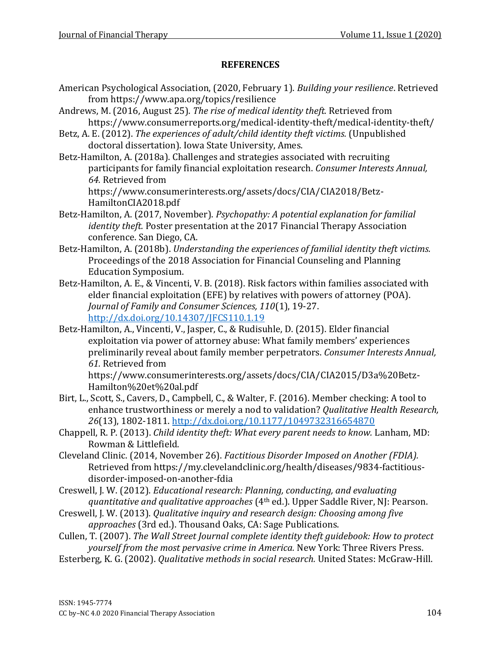## **REFERENCES**

- American Psychological Association, (2020, February 1). *Building your resilience*. Retrieved from https://www.apa.org/topics/resilience
- Andrews, M. (2016, August 25). *The rise of medical identity theft.* Retrieved from https://www.consumerreports.org/medical-identity-theft/medical-identity-theft/
- Betz, A. E. (2012). *The experiences of adult/child identity theft victims.* (Unpublished doctoral dissertation). Iowa State University, Ames.
- Betz-Hamilton, A. (2018a). Challenges and strategies associated with recruiting participants for family financial exploitation research. *Consumer Interests Annual, 64.* Retrieved from

https://www.consumerinterests.org/assets/docs/CIA/CIA2018/Betz-HamiltonCIA2018.pdf

- Betz-Hamilton, A. (2017, November). *Psychopathy: A potential explanation for familial identity theft.* Poster presentation at the 2017 Financial Therapy Association conference. San Diego, CA.
- Betz-Hamilton, A. (2018b). *Understanding the experiences of familial identity theft victims.* Proceedings of the 2018 Association for Financial Counseling and Planning Education Symposium.
- Betz-Hamilton, A. E., & Vincenti, V. B. (2018). Risk factors within families associated with elder financial exploitation (EFE) by relatives with powers of attorney (POA). *Journal of Family and Consumer Sciences, 110*(1), 19-27. [http://dx.doi.org/10.14307/JFCS110.1.19](about:blank)
- Betz-Hamilton, A., Vincenti, V., Jasper, C., & Rudisuhle, D. (2015). Elder financial exploitation via power of attorney abuse: What family members' experiences preliminarily reveal about family member perpetrators. *Consumer Interests Annual, 61.* Retrieved from

https://www.consumerinterests.org/assets/docs/CIA/CIA2015/D3a%20Betz-Hamilton%20et%20al.pdf

- Birt, L., Scott, S., Cavers, D., Campbell, C., & Walter, F. (2016). Member checking: A tool to enhance trustworthiness or merely a nod to validation? *Qualitative Health Research, 26*(13), 1802-1811. [http://dx.doi.org/10.1177/1049732316654870](about:blank)
- Chappell, R. P. (2013). *Child identity theft: What every parent needs to know.* Lanham, MD: Rowman & Littlefield.
- Cleveland Clinic. (2014, November 26). *Factitious Disorder Imposed on Another (FDIA).* Retrieved from https://my.clevelandclinic.org/health/diseases/9834-factitiousdisorder-imposed-on-another-fdia
- Creswell, J. W. (2012). *Educational research: Planning, conducting, and evaluating quantitative and qualitative approaches* (4th ed.). Upper Saddle River, NJ: Pearson.
- Creswell, J. W. (2013). *Qualitative inquiry and research design: Choosing among five approaches* (3rd ed.). Thousand Oaks, CA: Sage Publications.
- Cullen, T. (2007). *The Wall Street Journal complete identity theft guidebook: How to protect yourself from the most pervasive crime in America.* New York: Three Rivers Press.
- Esterberg, K. G. (2002). *Qualitative methods in social research.* United States: McGraw-Hill.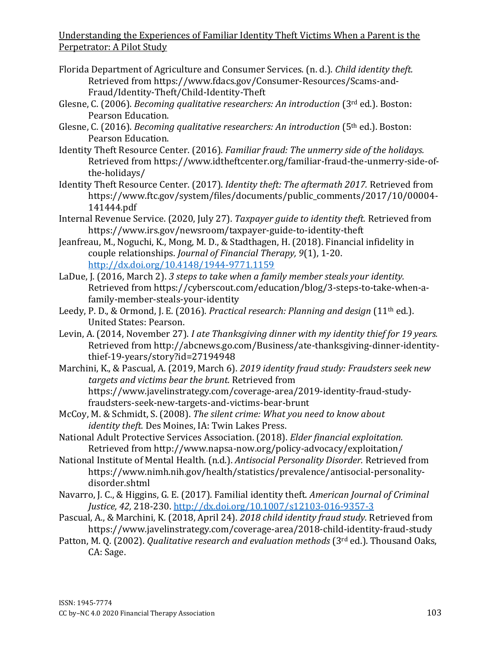- Florida Department of Agriculture and Consumer Services. (n. d.). *Child identity theft.* Retrieved from https://www.fdacs.gov/Consumer-Resources/Scams-and-Fraud/Identity-Theft/Child-Identity-Theft
- Glesne, C. (2006). *Becoming qualitative researchers: An introduction* (3rd ed.). Boston: Pearson Education.
- Glesne, C. (2016). *Becoming qualitative researchers: An introduction* (5th ed.). Boston: Pearson Education.
- Identity Theft Resource Center. (2016). *Familiar fraud: The unmerry side of the holidays.* Retrieved from https://www.idtheftcenter.org/familiar-fraud-the-unmerry-side-ofthe-holidays/
- Identity Theft Resource Center. (2017). *Identity theft: The aftermath 2017.* Retrieved from https://www.ftc.gov/system/files/documents/public\_comments/2017/10/00004- 141444.pdf
- Internal Revenue Service. (2020, July 27). *Taxpayer guide to identity theft.* Retrieved from https://www.irs.gov/newsroom/taxpayer-guide-to-identity-theft
- Jeanfreau, M., Noguchi, K., Mong, M. D., & Stadthagen, H. (2018). Financial infidelity in couple relationships. *Journal of Financial Therapy, 9*(1), 1-20. [http://dx.doi.org/10.4148/1944-9771.1159](about:blank)
- LaDue, J. (2016, March 2). *3 steps to take when a family member steals your identity.* Retrieved from https://cyberscout.com/education/blog/3-steps-to-take-when-afamily-member-steals-your-identity
- Leedy, P. D., & Ormond, J. E. (2016). *Practical research: Planning and design* (11th ed.). United States: Pearson.
- Levin, A. (2014, November 27). *I ate Thanksgiving dinner with my identity thief for 19 years.* Retrieved from http://abcnews.go.com/Business/ate-thanksgiving-dinner-identitythief-19-years/story?id=27194948
- Marchini, K., & Pascual, A. (2019, March 6). *2019 identity fraud study: Fraudsters seek new targets and victims bear the brunt.* Retrieved from https://www.javelinstrategy.com/coverage-area/2019-identity-fraud-studyfraudsters-seek-new-targets-and-victims-bear-brunt
- McCoy, M. & Schmidt, S. (2008). *The silent crime: What you need to know about identity theft.* Des Moines, IA: Twin Lakes Press.

National Adult Protective Services Association. (2018). *Elder financial exploitation.* Retrieved from http://www.napsa-now.org/policy-advocacy/exploitation/

- National Institute of Mental Health. (n.d.). *Antisocial Personality Disorder.* Retrieved from https://www.nimh.nih.gov/health/statistics/prevalence/antisocial-personalitydisorder.shtml
- Navarro, J. C., & Higgins, G. E. (2017). Familial identity theft. *American Journal of Criminal Justice, 42,* 218-230. [http://dx.doi.org/10.1007/s12103-016-9357-3](about:blank)
- Pascual, A., & Marchini, K. (2018, April 24). *2018 child identity fraud study.* Retrieved from https://www.javelinstrategy.com/coverage-area/2018-child-identity-fraud-study
- Patton, M. Q. (2002). *Qualitative research and evaluation methods* (3rd ed.). Thousand Oaks, CA: Sage.